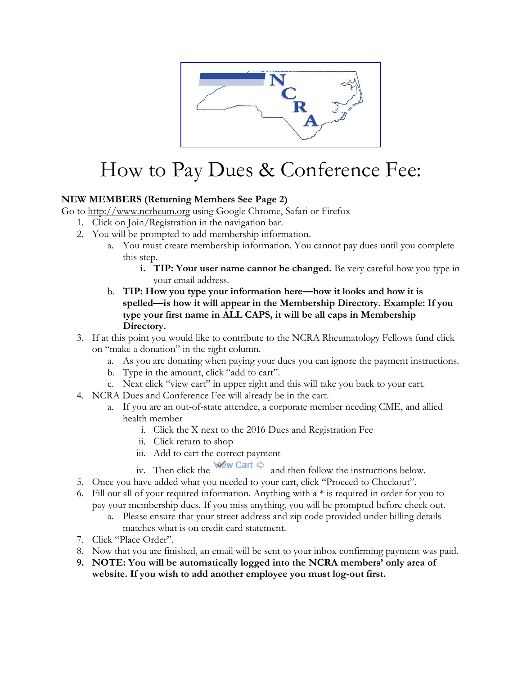

## How to Pay Dues & Conference Fee:

## **NEW MEMBERS (Returning Members See Page 2)**

Go to [http://www.ncrheum.org](http://www.ncrheum.org/) using Google Chrome, Safari or Firefox

- 1. Click on Join/Registration in the navigation bar.
- 2. You will be prompted to add membership information.
	- a. You must create membership information. You cannot pay dues until you complete this step.
		- **i. TIP: Your user name cannot be changed.** Be very careful how you type in your email address.
	- b. **TIP: How you type your information here—how it looks and how it is spelled—is how it will appear in the Membership Directory. Example: If you type your first name in ALL CAPS, it will be all caps in Membership Directory.**
- 3. If at this point you would like to contribute to the NCRA Rheumatology Fellows fund click on "make a donation" in the right column.
	- a. As you are donating when paying your dues you can ignore the payment instructions.
	- b. Type in the amount, click "add to cart".
	- c. Next click "view cart" in upper right and this will take you back to your cart.
- 4. NCRA Dues and Conference Fee will already be in the cart.
	- a. If you are an out-of-state attendee, a corporate member needing CME, and allied health member
		- i. Click the X next to the 2016 Dues and Registration Fee
		- ii. Click return to shop
		-
		- iii. Add to cart the correct payment<br>iv. Then click the Wew Cart  $\Leftrightarrow$  and and then follow the instructions below.
- 5. Once you have added what you needed to your cart, click "Proceed to Checkout".
- 6. Fill out all of your required information. Anything with  $a *$  is required in order for you to pay your membership dues. If you miss anything, you will be prompted before check out.
	- a. Please ensure that your street address and zip code provided under billing details matches what is on credit card statement.
- 7. Click "Place Order".
- 8. Now that you are finished, an email will be sent to your inbox confirming payment was paid.
- **9. NOTE: You will be automatically logged into the NCRA members' only area of website. If you wish to add another employee you must log-out first.**